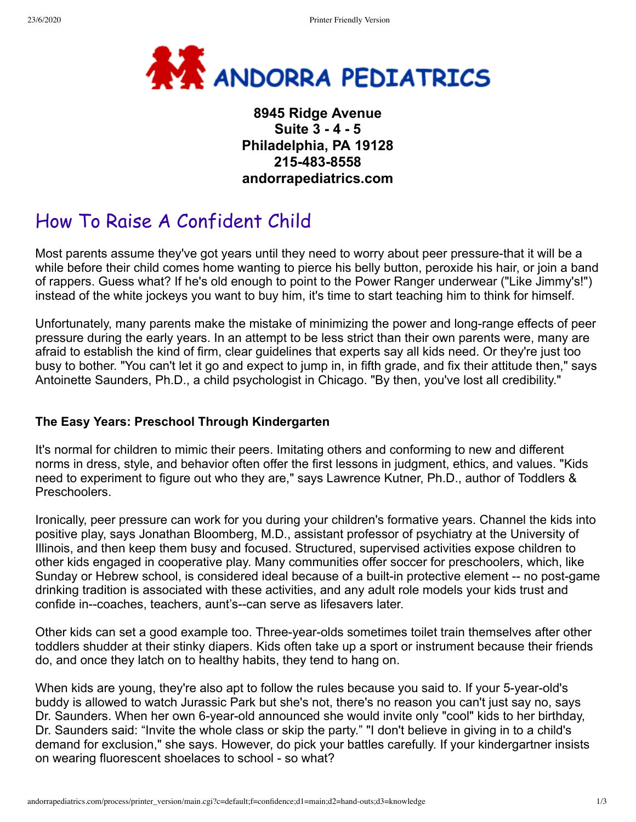

## **8945 Ridge Avenue Suite 3 - 4 - 5 Philadelphia, PA 19128 215-483-8558 andorrapediatrics.com**

# How To Raise A Confident Child

Most parents assume they've got years until they need to worry about peer pressure-that it will be a while before their child comes home wanting to pierce his belly button, peroxide his hair, or join a band of rappers. Guess what? If he's old enough to point to the Power Ranger underwear ("Like Jimmy's!") instead of the white jockeys you want to buy him, it's time to start teaching him to think for himself.

Unfortunately, many parents make the mistake of minimizing the power and long-range effects of peer pressure during the early years. In an attempt to be less strict than their own parents were, many are afraid to establish the kind of firm, clear guidelines that experts say all kids need. Or they're just too busy to bother. "You can't let it go and expect to jump in, in fifth grade, and fix their attitude then," says Antoinette Saunders, Ph.D., a child psychologist in Chicago. "By then, you've lost all credibility."

## **The Easy Years: Preschool Through Kindergarten**

It's normal for children to mimic their peers. Imitating others and conforming to new and different norms in dress, style, and behavior often offer the first lessons in judgment, ethics, and values. "Kids need to experiment to figure out who they are," says Lawrence Kutner, Ph.D., author of Toddlers & Preschoolers.

Ironically, peer pressure can work for you during your children's formative years. Channel the kids into positive play, says Jonathan Bloomberg, M.D., assistant professor of psychiatry at the University of Illinois, and then keep them busy and focused. Structured, supervised activities expose children to other kids engaged in cooperative play. Many communities offer soccer for preschoolers, which, like Sunday or Hebrew school, is considered ideal because of a built-in protective element -- no post-game drinking tradition is associated with these activities, and any adult role models your kids trust and confide in--coaches, teachers, aunt's--can serve as lifesavers later.

Other kids can set a good example too. Three-year-olds sometimes toilet train themselves after other toddlers shudder at their stinky diapers. Kids often take up a sport or instrument because their friends do, and once they latch on to healthy habits, they tend to hang on.

When kids are young, they're also apt to follow the rules because you said to. If your 5-year-old's buddy is allowed to watch Jurassic Park but she's not, there's no reason you can't just say no, says Dr. Saunders. When her own 6-year-old announced she would invite only "cool" kids to her birthday, Dr. Saunders said: "Invite the whole class or skip the party." "I don't believe in giving in to a child's demand for exclusion," she says. However, do pick your battles carefully. If your kindergartner insists on wearing fluorescent shoelaces to school - so what?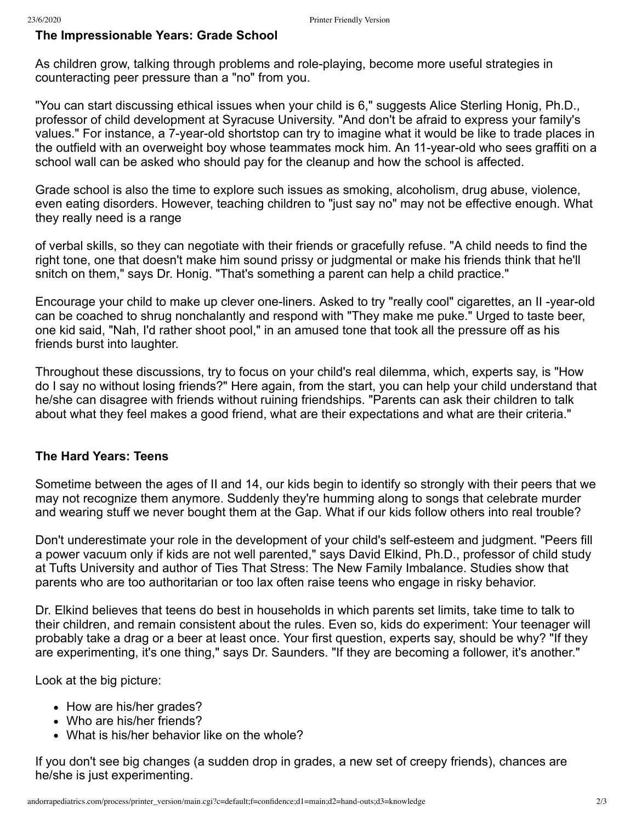### **The Impressionable Years: Grade School**

As children grow, talking through problems and role-playing, become more useful strategies in counteracting peer pressure than a "no" from you.

"You can start discussing ethical issues when your child is 6," suggests Alice Sterling Honig, Ph.D., professor of child development at Syracuse University. "And don't be afraid to express your family's values." For instance, a 7-year-old shortstop can try to imagine what it would be like to trade places in the outfield with an overweight boy whose teammates mock him. An 11-year-old who sees graffiti on a school wall can be asked who should pay for the cleanup and how the school is affected.

Grade school is also the time to explore such issues as smoking, alcoholism, drug abuse, violence, even eating disorders. However, teaching children to "just say no" may not be effective enough. What they really need is a range

of verbal skills, so they can negotiate with their friends or gracefully refuse. "A child needs to find the right tone, one that doesn't make him sound prissy or judgmental or make his friends think that he'll snitch on them," says Dr. Honig. "That's something a parent can help a child practice."

Encourage your child to make up clever one-liners. Asked to try "really cool" cigarettes, an II -year-old can be coached to shrug nonchalantly and respond with "They make me puke." Urged to taste beer, one kid said, "Nah, I'd rather shoot pool," in an amused tone that took all the pressure off as his friends burst into laughter.

Throughout these discussions, try to focus on your child's real dilemma, which, experts say, is "How do I say no without losing friends?" Here again, from the start, you can help your child understand that he/she can disagree with friends without ruining friendships. "Parents can ask their children to talk about what they feel makes a good friend, what are their expectations and what are their criteria."

#### **The Hard Years: Teens**

Sometime between the ages of II and 14, our kids begin to identify so strongly with their peers that we may not recognize them anymore. Suddenly they're humming along to songs that celebrate murder and wearing stuff we never bought them at the Gap. What if our kids follow others into real trouble?

Don't underestimate your role in the development of your child's self-esteem and judgment. "Peers fill a power vacuum only if kids are not well parented," says David Elkind, Ph.D., professor of child study at Tufts University and author of Ties That Stress: The New Family Imbalance. Studies show that parents who are too authoritarian or too lax often raise teens who engage in risky behavior.

Dr. Elkind believes that teens do best in households in which parents set limits, take time to talk to their children, and remain consistent about the rules. Even so, kids do experiment: Your teenager will probably take a drag or a beer at least once. Your first question, experts say, should be why? "If they are experimenting, it's one thing," says Dr. Saunders. "If they are becoming a follower, it's another."

Look at the big picture:

- How are his/her grades?
- Who are his/her friends?
- What is his/her behavior like on the whole?

If you don't see big changes (a sudden drop in grades, a new set of creepy friends), chances are he/she is just experimenting.